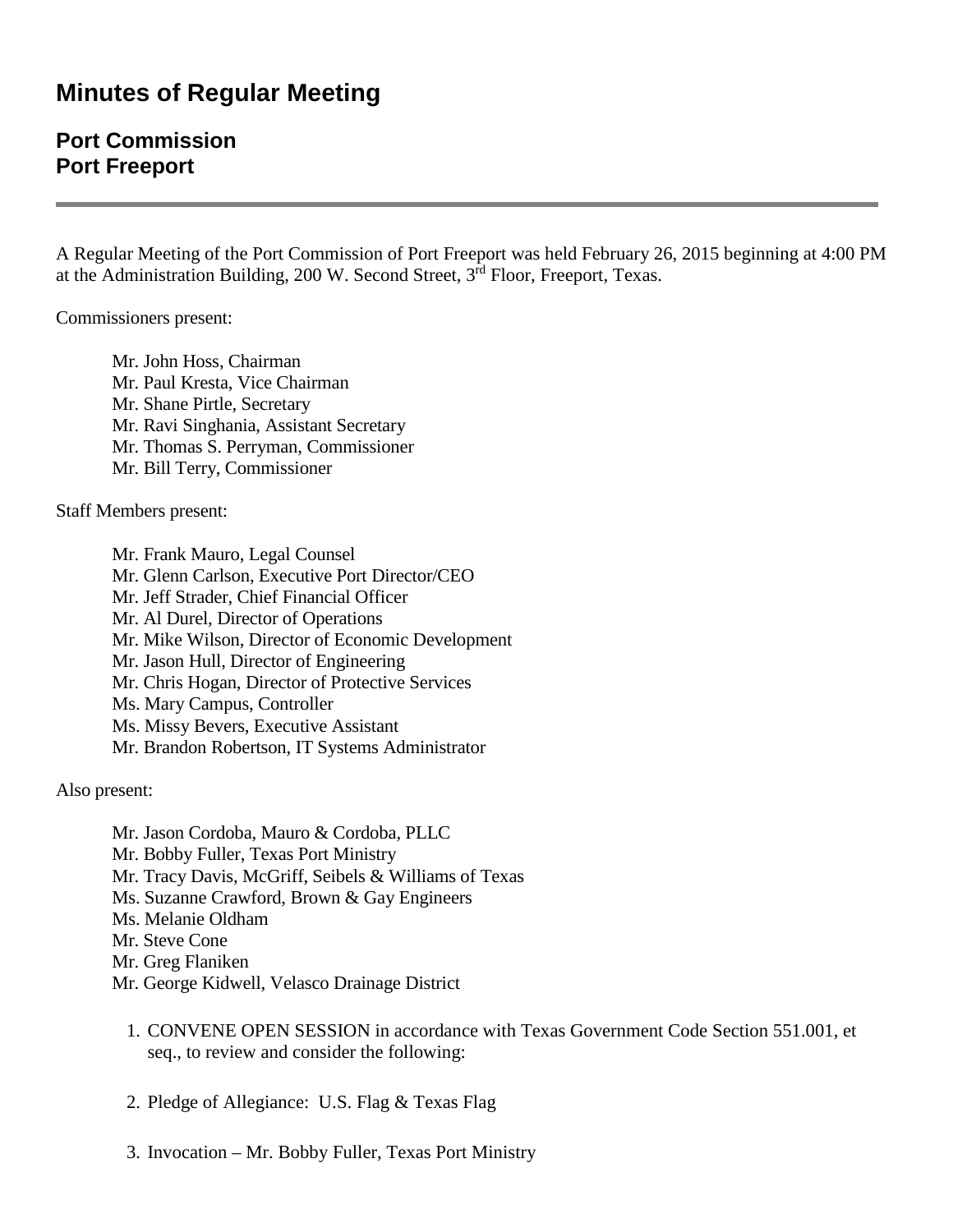# **Minutes of Regular Meeting**

## **Port Commission Port Freeport**

A Regular Meeting of the Port Commission of Port Freeport was held February 26, 2015 beginning at 4:00 PM at the Administration Building, 200 W. Second Street, 3rd Floor, Freeport, Texas.

Commissioners present:

Mr. John Hoss, Chairman Mr. Paul Kresta, Vice Chairman Mr. Shane Pirtle, Secretary Mr. Ravi Singhania, Assistant Secretary Mr. Thomas S. Perryman, Commissioner Mr. Bill Terry, Commissioner

Staff Members present:

Mr. Frank Mauro, Legal Counsel Mr. Glenn Carlson, Executive Port Director/CEO Mr. Jeff Strader, Chief Financial Officer Mr. Al Durel, Director of Operations Mr. Mike Wilson, Director of Economic Development Mr. Jason Hull, Director of Engineering Mr. Chris Hogan, Director of Protective Services Ms. Mary Campus, Controller Ms. Missy Bevers, Executive Assistant Mr. Brandon Robertson, IT Systems Administrator

Also present:

Mr. Jason Cordoba, Mauro & Cordoba, PLLC Mr. Bobby Fuller, Texas Port Ministry Mr. Tracy Davis, McGriff, Seibels & Williams of Texas Ms. Suzanne Crawford, Brown & Gay Engineers Ms. Melanie Oldham Mr. Steve Cone Mr. Greg Flaniken Mr. George Kidwell, Velasco Drainage District

- 1. CONVENE OPEN SESSION in accordance with Texas Government Code Section 551.001, et seq., to review and consider the following:
- 2. Pledge of Allegiance: U.S. Flag & Texas Flag
- 3. Invocation Mr. Bobby Fuller, Texas Port Ministry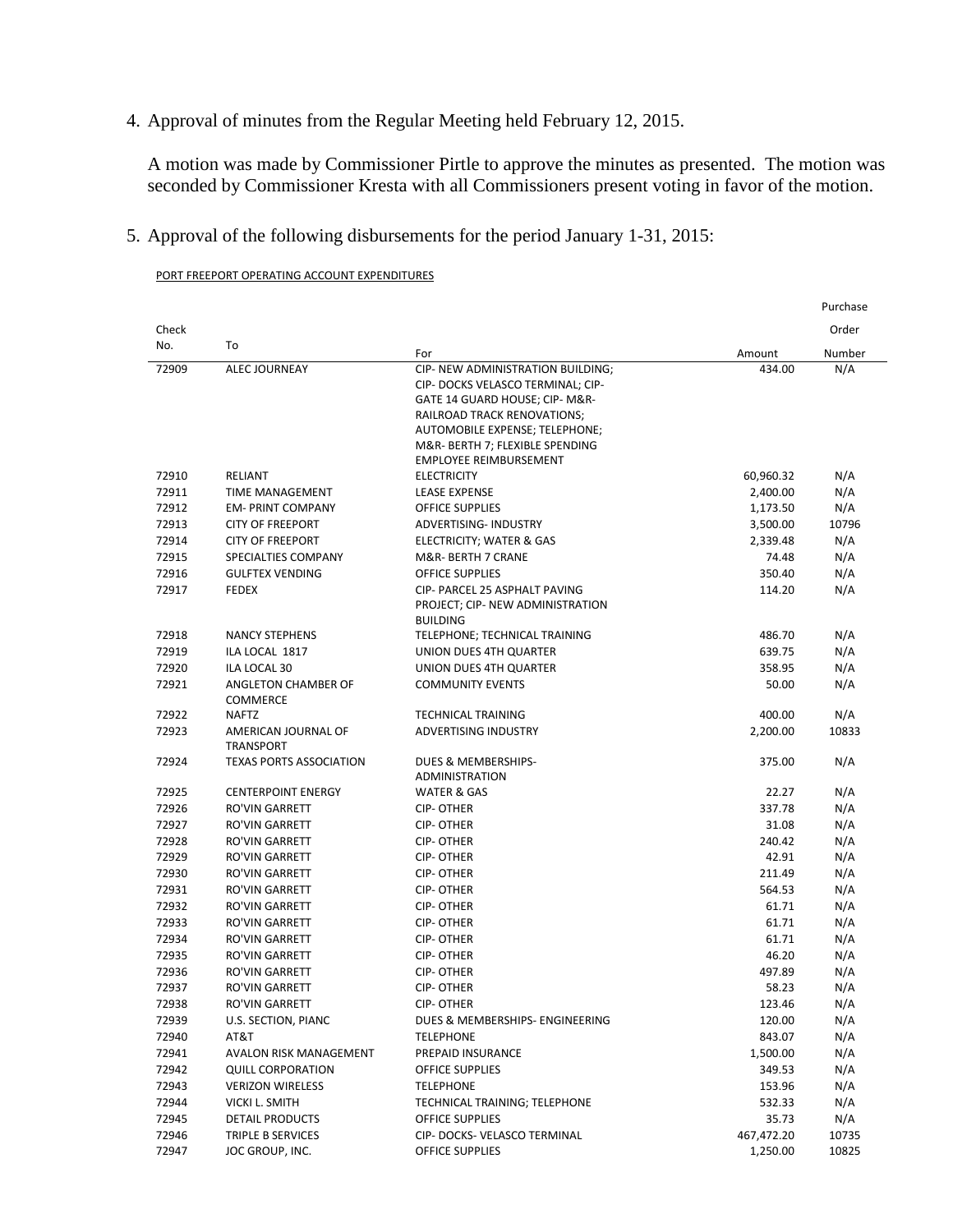4. Approval of minutes from the Regular Meeting held February 12, 2015.

A motion was made by Commissioner Pirtle to approve the minutes as presented. The motion was seconded by Commissioner Kresta with all Commissioners present voting in favor of the motion.

5. Approval of the following disbursements for the period January 1-31, 2015:

|                |                                |                                                                   |                      | Purchase |
|----------------|--------------------------------|-------------------------------------------------------------------|----------------------|----------|
| Check          |                                |                                                                   |                      | Order    |
| No.            | To                             | For                                                               | Amount               | Number   |
| 72909          | <b>ALEC JOURNEAY</b>           | CIP- NEW ADMINISTRATION BUILDING;                                 | 434.00               | N/A      |
|                |                                | CIP- DOCKS VELASCO TERMINAL; CIP-                                 |                      |          |
|                |                                | GATE 14 GUARD HOUSE; CIP- M&R-                                    |                      |          |
|                |                                | RAILROAD TRACK RENOVATIONS;                                       |                      |          |
|                |                                | AUTOMOBILE EXPENSE; TELEPHONE;                                    |                      |          |
|                |                                | M&R- BERTH 7; FLEXIBLE SPENDING                                   |                      |          |
| 72910          | RELIANT                        | <b>EMPLOYEE REIMBURSEMENT</b><br><b>ELECTRICITY</b>               | 60,960.32            | N/A      |
| 72911          | <b>TIME MANAGEMENT</b>         | <b>LEASE EXPENSE</b>                                              |                      | N/A      |
| 72912          | <b>EM-PRINT COMPANY</b>        | <b>OFFICE SUPPLIES</b>                                            | 2,400.00<br>1,173.50 | N/A      |
| 72913          | <b>CITY OF FREEPORT</b>        | ADVERTISING- INDUSTRY                                             |                      | 10796    |
| 72914          | <b>CITY OF FREEPORT</b>        |                                                                   | 3,500.00             | N/A      |
|                |                                | ELECTRICITY; WATER & GAS                                          | 2,339.48             |          |
| 72915<br>72916 | SPECIALTIES COMPANY            | M&R- BERTH 7 CRANE<br><b>OFFICE SUPPLIES</b>                      | 74.48<br>350.40      | N/A      |
|                | <b>GULFTEX VENDING</b>         |                                                                   |                      | N/A      |
| 72917          | <b>FEDEX</b>                   | CIP- PARCEL 25 ASPHALT PAVING<br>PROJECT; CIP- NEW ADMINISTRATION | 114.20               | N/A      |
|                |                                | <b>BUILDING</b>                                                   |                      |          |
| 72918          | <b>NANCY STEPHENS</b>          | TELEPHONE; TECHNICAL TRAINING                                     | 486.70               | N/A      |
| 72919          | ILA LOCAL 1817                 | UNION DUES 4TH QUARTER                                            | 639.75               | N/A      |
| 72920          | ILA LOCAL 30                   | UNION DUES 4TH QUARTER                                            | 358.95               | N/A      |
| 72921          | ANGLETON CHAMBER OF            | <b>COMMUNITY EVENTS</b>                                           | 50.00                | N/A      |
|                | <b>COMMERCE</b>                |                                                                   |                      |          |
| 72922          | <b>NAFTZ</b>                   | <b>TECHNICAL TRAINING</b>                                         | 400.00               | N/A      |
| 72923          | AMERICAN JOURNAL OF            | ADVERTISING INDUSTRY                                              | 2,200.00             | 10833    |
|                | <b>TRANSPORT</b>               |                                                                   |                      |          |
| 72924          | <b>TEXAS PORTS ASSOCIATION</b> | DUES & MEMBERSHIPS-                                               | 375.00               | N/A      |
|                |                                | <b>ADMINISTRATION</b>                                             |                      |          |
| 72925          | <b>CENTERPOINT ENERGY</b>      | <b>WATER &amp; GAS</b>                                            | 22.27                | N/A      |
| 72926          | <b>RO'VIN GARRETT</b>          | <b>CIP-OTHER</b>                                                  | 337.78               | N/A      |
| 72927          | <b>RO'VIN GARRETT</b>          | <b>CIP-OTHER</b>                                                  | 31.08                | N/A      |
| 72928          | <b>RO'VIN GARRETT</b>          | <b>CIP-OTHER</b>                                                  | 240.42               | N/A      |
| 72929          | <b>RO'VIN GARRETT</b>          | <b>CIP-OTHER</b>                                                  | 42.91                | N/A      |
| 72930          | <b>RO'VIN GARRETT</b>          | <b>CIP-OTHER</b>                                                  | 211.49               | N/A      |
| 72931          | <b>RO'VIN GARRETT</b>          | <b>CIP-OTHER</b>                                                  | 564.53               | N/A      |
| 72932          | <b>RO'VIN GARRETT</b>          | <b>CIP-OTHER</b>                                                  | 61.71                | N/A      |
| 72933          | <b>RO'VIN GARRETT</b>          | <b>CIP-OTHER</b>                                                  | 61.71                | N/A      |
| 72934          | <b>RO'VIN GARRETT</b>          | <b>CIP-OTHER</b>                                                  | 61.71                | N/A      |
| 72935          | <b>RO'VIN GARRETT</b>          | <b>CIP-OTHER</b>                                                  | 46.20                | N/A      |
| 72936          | <b>RO'VIN GARRETT</b>          | <b>CIP-OTHER</b>                                                  | 497.89               | N/A      |
| 72937          | <b>RO'VIN GARRETT</b>          | <b>CIP-OTHER</b>                                                  | 58.23                | N/A      |
| 72938          | RO'VIN GARRETT                 | CIP-OTHER                                                         | 123.46               | N/A      |
| 72939          | U.S. SECTION, PIANC            | DUES & MEMBERSHIPS- ENGINEERING                                   | 120.00               | N/A      |
| 72940          | AT&T                           | <b>TELEPHONE</b>                                                  | 843.07               | N/A      |
| 72941          | AVALON RISK MANAGEMENT         | PREPAID INSURANCE                                                 | 1,500.00             | N/A      |
| 72942          | <b>QUILL CORPORATION</b>       | OFFICE SUPPLIES                                                   | 349.53               | N/A      |
| 72943          | <b>VERIZON WIRELESS</b>        | <b>TELEPHONE</b>                                                  | 153.96               | N/A      |
| 72944          | VICKI L. SMITH                 | TECHNICAL TRAINING; TELEPHONE                                     | 532.33               | N/A      |
| 72945          | DETAIL PRODUCTS                | OFFICE SUPPLIES                                                   | 35.73                | N/A      |
| 72946          | TRIPLE B SERVICES              | CIP-DOCKS-VELASCO TERMINAL                                        | 467,472.20           | 10735    |
| 72947          | JOC GROUP, INC.                | OFFICE SUPPLIES                                                   | 1,250.00             | 10825    |

PORT FREEPORT OPERATING ACCOUNT EXPENDITURES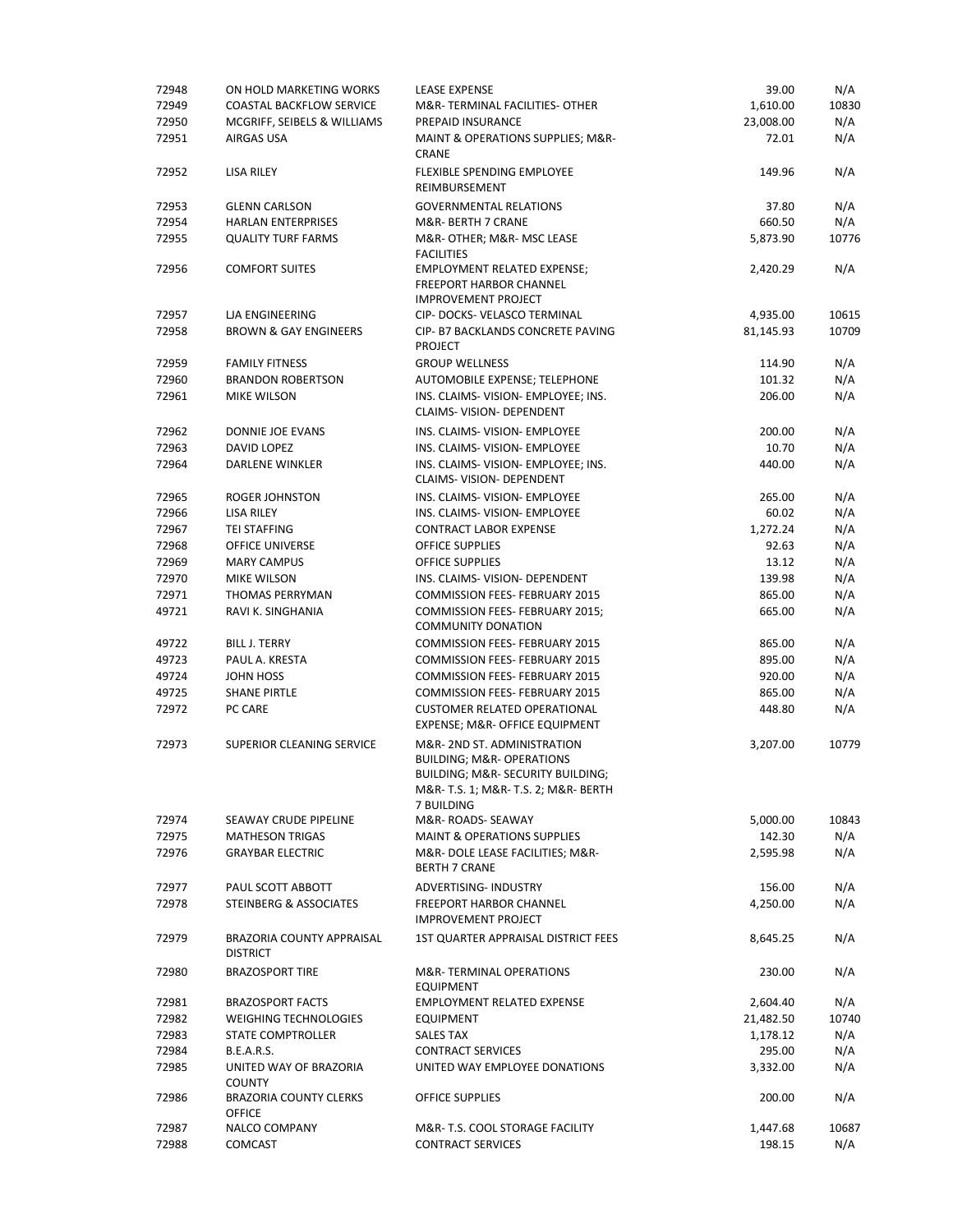| 72948 | ON HOLD MARKETING WORKS                        | LEASE EXPENSE                                                                                                                                                 | 39.00     | N/A   |
|-------|------------------------------------------------|---------------------------------------------------------------------------------------------------------------------------------------------------------------|-----------|-------|
| 72949 | <b>COASTAL BACKFLOW SERVICE</b>                | M&R-TERMINAL FACILITIES-OTHER                                                                                                                                 | 1,610.00  | 10830 |
| 72950 | MCGRIFF, SEIBELS & WILLIAMS                    | PREPAID INSURANCE                                                                                                                                             | 23,008.00 | N/A   |
| 72951 | AIRGAS USA                                     | MAINT & OPERATIONS SUPPLIES; M&R-<br><b>CRANE</b>                                                                                                             | 72.01     | N/A   |
| 72952 | LISA RILEY                                     | FLEXIBLE SPENDING EMPLOYEE<br>REIMBURSEMENT                                                                                                                   | 149.96    | N/A   |
| 72953 | <b>GLENN CARLSON</b>                           | <b>GOVERNMENTAL RELATIONS</b>                                                                                                                                 | 37.80     | N/A   |
| 72954 | <b>HARLAN ENTERPRISES</b>                      | M&R- BERTH 7 CRANE                                                                                                                                            | 660.50    | N/A   |
| 72955 | <b>QUALITY TURF FARMS</b>                      | M&R- OTHER; M&R- MSC LEASE<br><b>FACILITIES</b>                                                                                                               | 5,873.90  | 10776 |
| 72956 | <b>COMFORT SUITES</b>                          | EMPLOYMENT RELATED EXPENSE;<br><b>FREEPORT HARBOR CHANNEL</b><br><b>IMPROVEMENT PROJECT</b>                                                                   | 2,420.29  | N/A   |
| 72957 | <b>LJA ENGINEERING</b>                         | CIP-DOCKS-VELASCO TERMINAL                                                                                                                                    | 4,935.00  | 10615 |
| 72958 | <b>BROWN &amp; GAY ENGINEERS</b>               | CIP- B7 BACKLANDS CONCRETE PAVING<br><b>PROJECT</b>                                                                                                           | 81,145.93 | 10709 |
| 72959 | <b>FAMILY FITNESS</b>                          | <b>GROUP WELLNESS</b>                                                                                                                                         | 114.90    | N/A   |
| 72960 | <b>BRANDON ROBERTSON</b>                       | AUTOMOBILE EXPENSE; TELEPHONE                                                                                                                                 | 101.32    | N/A   |
| 72961 | <b>MIKE WILSON</b>                             | INS. CLAIMS-VISION- EMPLOYEE: INS.<br>CLAIMS-VISION-DEPENDENT                                                                                                 | 206.00    | N/A   |
| 72962 | DONNIE JOE EVANS                               | INS. CLAIMS- VISION- EMPLOYEE                                                                                                                                 | 200.00    | N/A   |
| 72963 | DAVID LOPEZ                                    | INS. CLAIMS-VISION- EMPLOYEE                                                                                                                                  | 10.70     | N/A   |
| 72964 | DARLENE WINKLER                                | INS. CLAIMS-VISION- EMPLOYEE; INS.<br>CLAIMS-VISION-DEPENDENT                                                                                                 | 440.00    | N/A   |
| 72965 | ROGER JOHNSTON                                 | INS. CLAIMS- VISION- EMPLOYEE                                                                                                                                 | 265.00    | N/A   |
| 72966 | <b>LISA RILEY</b>                              | INS. CLAIMS- VISION- EMPLOYEE                                                                                                                                 | 60.02     | N/A   |
| 72967 | <b>TEI STAFFING</b>                            | <b>CONTRACT LABOR EXPENSE</b>                                                                                                                                 | 1,272.24  | N/A   |
| 72968 | <b>OFFICE UNIVERSE</b>                         | <b>OFFICE SUPPLIES</b>                                                                                                                                        | 92.63     | N/A   |
| 72969 | <b>MARY CAMPUS</b>                             | <b>OFFICE SUPPLIES</b>                                                                                                                                        | 13.12     | N/A   |
| 72970 | <b>MIKE WILSON</b>                             | INS. CLAIMS- VISION- DEPENDENT                                                                                                                                | 139.98    | N/A   |
| 72971 | THOMAS PERRYMAN                                | <b>COMMISSION FEES- FEBRUARY 2015</b>                                                                                                                         | 865.00    | N/A   |
| 49721 | RAVI K. SINGHANIA                              | COMMISSION FEES- FEBRUARY 2015;<br><b>COMMUNITY DONATION</b>                                                                                                  | 665.00    | N/A   |
| 49722 | BILL J. TERRY                                  | <b>COMMISSION FEES- FEBRUARY 2015</b>                                                                                                                         | 865.00    | N/A   |
| 49723 | PAUL A. KRESTA                                 | <b>COMMISSION FEES- FEBRUARY 2015</b>                                                                                                                         | 895.00    | N/A   |
| 49724 | JOHN HOSS                                      | <b>COMMISSION FEES- FEBRUARY 2015</b>                                                                                                                         | 920.00    | N/A   |
| 49725 | <b>SHANE PIRTLE</b>                            | <b>COMMISSION FEES- FEBRUARY 2015</b>                                                                                                                         | 865.00    | N/A   |
| 72972 | PC CARE                                        | <b>CUSTOMER RELATED OPERATIONAL</b>                                                                                                                           | 448.80    | N/A   |
|       |                                                | EXPENSE; M&R- OFFICE EQUIPMENT                                                                                                                                |           |       |
| 72973 | SUPERIOR CLEANING SERVICE                      | M&R-2ND ST. ADMINISTRATION<br><b>BUILDING; M&amp;R- OPERATIONS</b><br>BUILDING; M&R- SECURITY BUILDING;<br>M&R- T.S. 1; M&R- T.S. 2; M&R- BERTH<br>7 BUILDING | 3,207.00  | 10779 |
| 72974 | SEAWAY CRUDE PIPELINE                          | M&R-ROADS-SEAWAY                                                                                                                                              | 5,000.00  | 10843 |
| 72975 | <b>MATHESON TRIGAS</b>                         | <b>MAINT &amp; OPERATIONS SUPPLIES</b>                                                                                                                        | 142.30    | N/A   |
| 72976 | <b>GRAYBAR ELECTRIC</b>                        | M&R- DOLE LEASE FACILITIES; M&R-<br><b>BERTH 7 CRANE</b>                                                                                                      | 2,595.98  | N/A   |
| 72977 | PAUL SCOTT ABBOTT                              | ADVERTISING- INDUSTRY                                                                                                                                         | 156.00    | N/A   |
| 72978 | STEINBERG & ASSOCIATES                         | <b>FREEPORT HARBOR CHANNEL</b><br><b>IMPROVEMENT PROJECT</b>                                                                                                  | 4,250.00  | N/A   |
| 72979 | BRAZORIA COUNTY APPRAISAL<br><b>DISTRICT</b>   | 1ST QUARTER APPRAISAL DISTRICT FEES                                                                                                                           | 8,645.25  | N/A   |
| 72980 | <b>BRAZOSPORT TIRE</b>                         | M&R-TERMINAL OPERATIONS<br><b>EQUIPMENT</b>                                                                                                                   | 230.00    | N/A   |
| 72981 | <b>BRAZOSPORT FACTS</b>                        | <b>EMPLOYMENT RELATED EXPENSE</b>                                                                                                                             | 2,604.40  | N/A   |
| 72982 | <b>WEIGHING TECHNOLOGIES</b>                   | <b>EQUIPMENT</b>                                                                                                                                              | 21,482.50 | 10740 |
| 72983 | STATE COMPTROLLER                              | <b>SALES TAX</b>                                                                                                                                              | 1,178.12  | N/A   |
| 72984 | <b>B.E.A.R.S.</b>                              | <b>CONTRACT SERVICES</b>                                                                                                                                      | 295.00    | N/A   |
| 72985 | UNITED WAY OF BRAZORIA                         | UNITED WAY EMPLOYEE DONATIONS                                                                                                                                 | 3,332.00  | N/A   |
| 72986 | <b>COUNTY</b><br><b>BRAZORIA COUNTY CLERKS</b> | OFFICE SUPPLIES                                                                                                                                               | 200.00    | N/A   |
|       | <b>OFFICE</b>                                  |                                                                                                                                                               |           |       |
| 72987 | <b>NALCO COMPANY</b>                           | M&R- T.S. COOL STORAGE FACILITY                                                                                                                               | 1,447.68  | 10687 |
| 72988 | <b>COMCAST</b>                                 | <b>CONTRACT SERVICES</b>                                                                                                                                      | 198.15    | N/A   |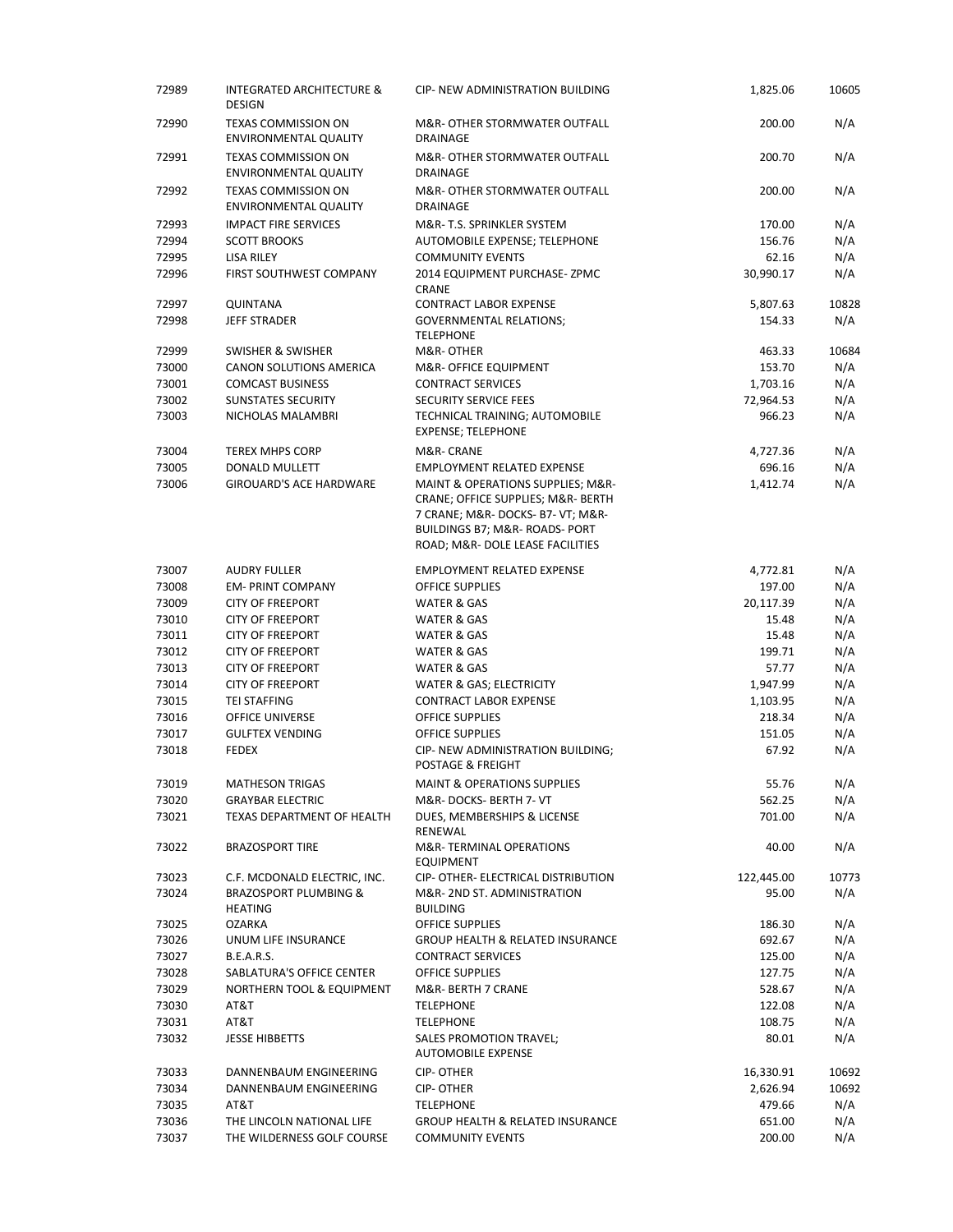| 72989 | <b>INTEGRATED ARCHITECTURE &amp;</b><br><b>DESIGN</b>      | CIP- NEW ADMINISTRATION BUILDING                                                                                                                                                   | 1,825.06   | 10605 |
|-------|------------------------------------------------------------|------------------------------------------------------------------------------------------------------------------------------------------------------------------------------------|------------|-------|
| 72990 | <b>TEXAS COMMISSION ON</b><br>ENVIRONMENTAL QUALITY        | M&R- OTHER STORMWATER OUTFALL<br>DRAINAGE                                                                                                                                          | 200.00     | N/A   |
| 72991 | <b>TEXAS COMMISSION ON</b><br><b>ENVIRONMENTAL QUALITY</b> | M&R- OTHER STORMWATER OUTFALL<br>DRAINAGE                                                                                                                                          | 200.70     | N/A   |
| 72992 | <b>TEXAS COMMISSION ON</b><br>ENVIRONMENTAL QUALITY        | M&R- OTHER STORMWATER OUTFALL<br>DRAINAGE                                                                                                                                          | 200.00     | N/A   |
| 72993 | <b>IMPACT FIRE SERVICES</b>                                | M&R- T.S. SPRINKLER SYSTEM                                                                                                                                                         | 170.00     | N/A   |
| 72994 | <b>SCOTT BROOKS</b>                                        | AUTOMOBILE EXPENSE; TELEPHONE                                                                                                                                                      | 156.76     | N/A   |
| 72995 | <b>LISA RILEY</b>                                          | <b>COMMUNITY EVENTS</b>                                                                                                                                                            | 62.16      | N/A   |
| 72996 | FIRST SOUTHWEST COMPANY                                    | 2014 EQUIPMENT PURCHASE-ZPMC                                                                                                                                                       | 30,990.17  | N/A   |
|       |                                                            | CRANE                                                                                                                                                                              |            | 10828 |
| 72997 | QUINTANA                                                   | <b>CONTRACT LABOR EXPENSE</b>                                                                                                                                                      | 5,807.63   |       |
| 72998 | JEFF STRADER                                               | <b>GOVERNMENTAL RELATIONS;</b><br><b>TELEPHONE</b>                                                                                                                                 | 154.33     | N/A   |
| 72999 | SWISHER & SWISHER                                          | M&R-OTHER                                                                                                                                                                          | 463.33     | 10684 |
| 73000 | <b>CANON SOLUTIONS AMERICA</b>                             | M&R- OFFICE EQUIPMENT                                                                                                                                                              | 153.70     | N/A   |
| 73001 | <b>COMCAST BUSINESS</b>                                    | <b>CONTRACT SERVICES</b>                                                                                                                                                           | 1,703.16   | N/A   |
| 73002 | <b>SUNSTATES SECURITY</b>                                  | <b>SECURITY SERVICE FEES</b>                                                                                                                                                       | 72,964.53  | N/A   |
| 73003 | NICHOLAS MALAMBRI                                          | TECHNICAL TRAINING; AUTOMOBILE<br>EXPENSE; TELEPHONE                                                                                                                               | 966.23     | N/A   |
| 73004 | <b>TEREX MHPS CORP</b>                                     | M&R- CRANE                                                                                                                                                                         | 4,727.36   | N/A   |
| 73005 | DONALD MULLETT                                             | <b>EMPLOYMENT RELATED EXPENSE</b>                                                                                                                                                  | 696.16     | N/A   |
| 73006 | <b>GIROUARD'S ACE HARDWARE</b>                             | MAINT & OPERATIONS SUPPLIES; M&R-<br>CRANE; OFFICE SUPPLIES; M&R- BERTH<br>7 CRANE; M&R- DOCKS- B7- VT; M&R-<br>BUILDINGS B7; M&R- ROADS- PORT<br>ROAD; M&R- DOLE LEASE FACILITIES | 1,412.74   | N/A   |
| 73007 | <b>AUDRY FULLER</b>                                        | <b>EMPLOYMENT RELATED EXPENSE</b>                                                                                                                                                  | 4,772.81   | N/A   |
| 73008 | <b>EM-PRINT COMPANY</b>                                    | OFFICE SUPPLIES                                                                                                                                                                    | 197.00     | N/A   |
| 73009 | <b>CITY OF FREEPORT</b>                                    | WATER & GAS                                                                                                                                                                        | 20,117.39  | N/A   |
| 73010 | <b>CITY OF FREEPORT</b>                                    | WATER & GAS                                                                                                                                                                        | 15.48      | N/A   |
| 73011 | <b>CITY OF FREEPORT</b>                                    | WATER & GAS                                                                                                                                                                        | 15.48      | N/A   |
| 73012 | <b>CITY OF FREEPORT</b>                                    | WATER & GAS                                                                                                                                                                        | 199.71     | N/A   |
| 73013 | <b>CITY OF FREEPORT</b>                                    | <b>WATER &amp; GAS</b>                                                                                                                                                             | 57.77      | N/A   |
| 73014 | <b>CITY OF FREEPORT</b>                                    | WATER & GAS; ELECTRICITY                                                                                                                                                           | 1,947.99   | N/A   |
| 73015 | <b>TEI STAFFING</b>                                        | <b>CONTRACT LABOR EXPENSE</b>                                                                                                                                                      | 1,103.95   | N/A   |
| 73016 | OFFICE UNIVERSE                                            | OFFICE SUPPLIES                                                                                                                                                                    | 218.34     | N/A   |
| 73017 | <b>GULFTEX VENDING</b>                                     | <b>OFFICE SUPPLIES</b>                                                                                                                                                             | 151.05     | N/A   |
| 73018 | <b>FEDEX</b>                                               |                                                                                                                                                                                    | 67.92      | N/A   |
|       |                                                            | CIP- NEW ADMINISTRATION BUILDING;<br><b>POSTAGE &amp; FREIGHT</b>                                                                                                                  |            |       |
| 73019 | <b>MATHESON TRIGAS</b>                                     | <b>MAINT &amp; OPERATIONS SUPPLIES</b>                                                                                                                                             | 55.76      | N/A   |
| 73020 | <b>GRAYBAR ELECTRIC</b>                                    | M&R-DOCKS-BERTH 7- VT                                                                                                                                                              | 562.25     | N/A   |
| 73021 | <b>TEXAS DEPARTMENT OF HEALTH</b>                          | DUES, MEMBERSHIPS & LICENSE<br>RENEWAL                                                                                                                                             | 701.00     | N/A   |
| 73022 | <b>BRAZOSPORT TIRE</b>                                     | M&R-TERMINAL OPERATIONS<br><b>EQUIPMENT</b>                                                                                                                                        | 40.00      | N/A   |
| 73023 | C.F. MCDONALD ELECTRIC, INC.                               | CIP- OTHER- ELECTRICAL DISTRIBUTION                                                                                                                                                | 122,445.00 | 10773 |
| 73024 | <b>BRAZOSPORT PLUMBING &amp;</b><br><b>HEATING</b>         | M&R-2ND ST. ADMINISTRATION<br><b>BUILDING</b>                                                                                                                                      | 95.00      | N/A   |
| 73025 | OZARKA                                                     | OFFICE SUPPLIES                                                                                                                                                                    | 186.30     | N/A   |
| 73026 | UNUM LIFE INSURANCE                                        | <b>GROUP HEALTH &amp; RELATED INSURANCE</b>                                                                                                                                        | 692.67     | N/A   |
| 73027 | <b>B.E.A.R.S.</b>                                          | <b>CONTRACT SERVICES</b>                                                                                                                                                           | 125.00     | N/A   |
| 73028 | <b>SABLATURA'S OFFICE CENTER</b>                           | <b>OFFICE SUPPLIES</b>                                                                                                                                                             | 127.75     | N/A   |
| 73029 | NORTHERN TOOL & EQUIPMENT                                  | M&R- BERTH 7 CRANE                                                                                                                                                                 | 528.67     | N/A   |
| 73030 | AT&T                                                       | <b>TELEPHONE</b>                                                                                                                                                                   | 122.08     | N/A   |
| 73031 | AT&T                                                       | <b>TELEPHONE</b>                                                                                                                                                                   | 108.75     | N/A   |
| 73032 | <b>JESSE HIBBETTS</b>                                      | SALES PROMOTION TRAVEL;<br><b>AUTOMOBILE EXPENSE</b>                                                                                                                               | 80.01      | N/A   |
| 73033 | DANNENBAUM ENGINEERING                                     | <b>CIP-OTHER</b>                                                                                                                                                                   | 16,330.91  | 10692 |
| 73034 | DANNENBAUM ENGINEERING                                     | CIP-OTHER                                                                                                                                                                          | 2,626.94   | 10692 |
| 73035 | AT&T                                                       | <b>TELEPHONE</b>                                                                                                                                                                   | 479.66     | N/A   |
| 73036 | THE LINCOLN NATIONAL LIFE                                  | <b>GROUP HEALTH &amp; RELATED INSURANCE</b>                                                                                                                                        | 651.00     | N/A   |
| 73037 | THE WILDERNESS GOLF COURSE                                 | <b>COMMUNITY EVENTS</b>                                                                                                                                                            | 200.00     | N/A   |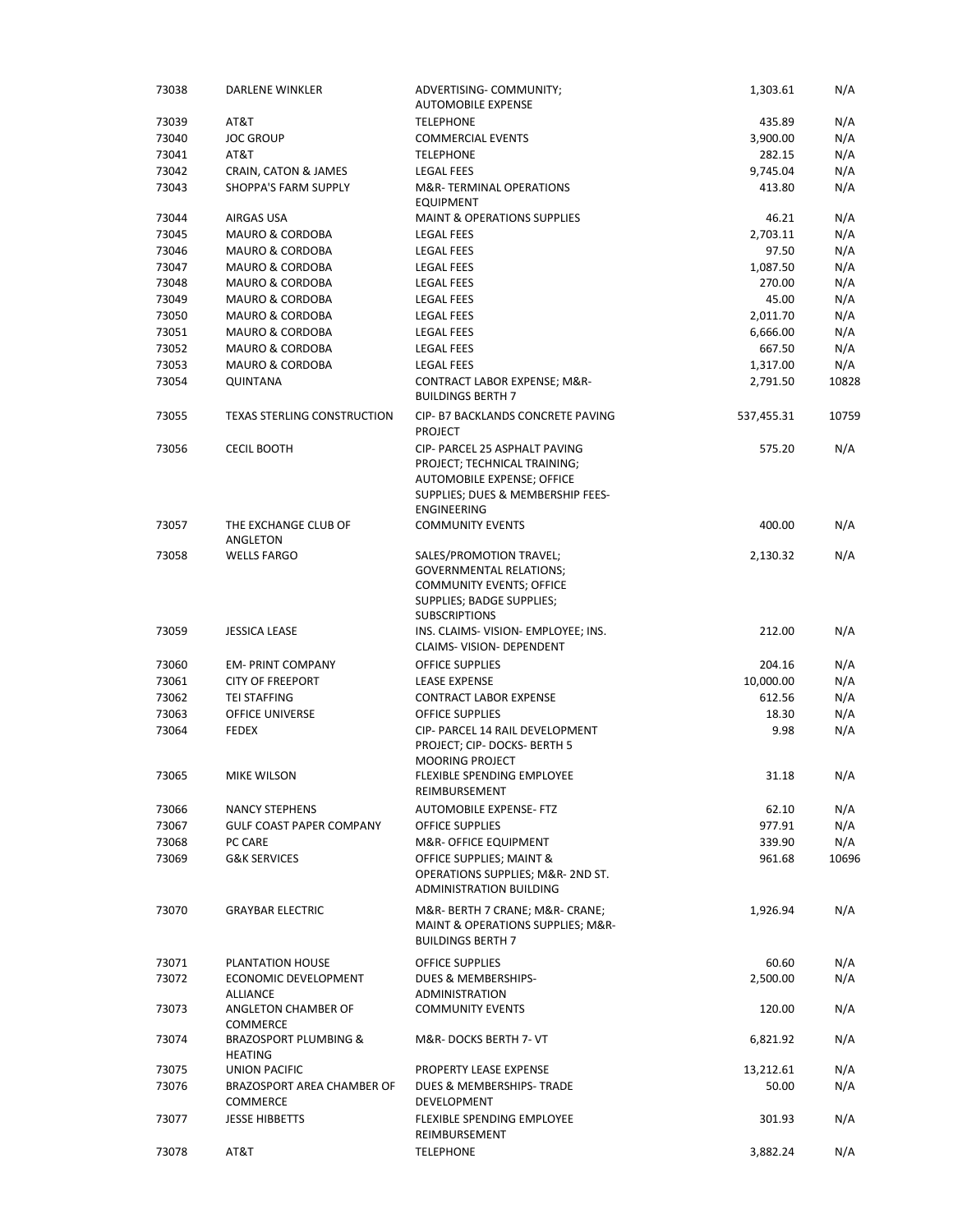| 73038 | DARLENE WINKLER                         | ADVERTISING- COMMUNITY;<br><b>AUTOMOBILE EXPENSE</b>                                                                      | 1,303.61           | N/A   |
|-------|-----------------------------------------|---------------------------------------------------------------------------------------------------------------------------|--------------------|-------|
| 73039 | AT&T                                    | <b>TELEPHONE</b>                                                                                                          | 435.89             | N/A   |
| 73040 | <b>JOC GROUP</b>                        | <b>COMMERCIAL EVENTS</b>                                                                                                  | 3,900.00           | N/A   |
| 73041 | AT&T                                    | <b>TELEPHONE</b>                                                                                                          | 282.15             | N/A   |
| 73042 | CRAIN, CATON & JAMES                    | <b>LEGAL FEES</b>                                                                                                         | 9,745.04           | N/A   |
| 73043 | <b>SHOPPA'S FARM SUPPLY</b>             | M&R-TERMINAL OPERATIONS                                                                                                   | 413.80             | N/A   |
| 73044 | AIRGAS USA                              | <b>EQUIPMENT</b><br><b>MAINT &amp; OPERATIONS SUPPLIES</b>                                                                |                    | N/A   |
|       |                                         |                                                                                                                           | 46.21              |       |
| 73045 | <b>MAURO &amp; CORDOBA</b>              | <b>LEGAL FEES</b>                                                                                                         | 2,703.11           | N/A   |
| 73046 | <b>MAURO &amp; CORDOBA</b>              | <b>LEGAL FEES</b>                                                                                                         | 97.50              | N/A   |
| 73047 | <b>MAURO &amp; CORDOBA</b>              | <b>LEGAL FEES</b>                                                                                                         | 1,087.50<br>270.00 | N/A   |
| 73048 | <b>MAURO &amp; CORDOBA</b>              | <b>LEGAL FEES</b>                                                                                                         |                    | N/A   |
| 73049 | <b>MAURO &amp; CORDOBA</b>              | <b>LEGAL FEES</b>                                                                                                         | 45.00              | N/A   |
| 73050 | <b>MAURO &amp; CORDOBA</b>              | <b>LEGAL FEES</b>                                                                                                         | 2,011.70           | N/A   |
| 73051 | <b>MAURO &amp; CORDOBA</b>              | <b>LEGAL FEES</b>                                                                                                         | 6,666.00           | N/A   |
| 73052 | <b>MAURO &amp; CORDOBA</b>              | <b>LEGAL FEES</b>                                                                                                         | 667.50             | N/A   |
| 73053 | <b>MAURO &amp; CORDOBA</b>              | <b>LEGAL FEES</b>                                                                                                         | 1,317.00           | N/A   |
| 73054 | <b>QUINTANA</b>                         | CONTRACT LABOR EXPENSE; M&R-<br><b>BUILDINGS BERTH 7</b>                                                                  | 2,791.50           | 10828 |
| 73055 | <b>TEXAS STERLING CONSTRUCTION</b>      | CIP- B7 BACKLANDS CONCRETE PAVING<br><b>PROJECT</b>                                                                       | 537,455.31         | 10759 |
| 73056 | <b>CECIL BOOTH</b>                      | CIP- PARCEL 25 ASPHALT PAVING<br>PROJECT; TECHNICAL TRAINING;<br>AUTOMOBILE EXPENSE; OFFICE                               | 575.20             | N/A   |
|       |                                         | SUPPLIES; DUES & MEMBERSHIP FEES-<br><b>ENGINEERING</b>                                                                   |                    |       |
| 73057 | THE EXCHANGE CLUB OF<br>ANGLETON        | <b>COMMUNITY EVENTS</b>                                                                                                   | 400.00             | N/A   |
| 73058 | WELLS FARGO                             | SALES/PROMOTION TRAVEL;<br><b>GOVERNMENTAL RELATIONS;</b><br><b>COMMUNITY EVENTS; OFFICE</b><br>SUPPLIES; BADGE SUPPLIES; | 2,130.32           | N/A   |
|       |                                         | <b>SUBSCRIPTIONS</b>                                                                                                      |                    |       |
| 73059 | <b>JESSICA LEASE</b>                    | INS. CLAIMS-VISION- EMPLOYEE; INS.<br>CLAIMS- VISION- DEPENDENT                                                           | 212.00             | N/A   |
| 73060 | <b>EM-PRINT COMPANY</b>                 | <b>OFFICE SUPPLIES</b>                                                                                                    | 204.16             | N/A   |
| 73061 | <b>CITY OF FREEPORT</b>                 | <b>LEASE EXPENSE</b>                                                                                                      | 10,000.00          | N/A   |
| 73062 | <b>TEI STAFFING</b>                     | <b>CONTRACT LABOR EXPENSE</b>                                                                                             | 612.56             | N/A   |
| 73063 | <b>OFFICE UNIVERSE</b>                  | <b>OFFICE SUPPLIES</b>                                                                                                    | 18.30              | N/A   |
| 73064 | <b>FEDEX</b>                            | CIP- PARCEL 14 RAIL DEVELOPMENT<br>PROJECT; CIP- DOCKS- BERTH 5<br><b>MOORING PROJECT</b>                                 | 9.98               | N/A   |
| 73065 | MIKE WILSON                             | FLEXIBLE SPENDING EMPLOYEE<br>REIMBURSEMENT                                                                               | 31.18              | N/A   |
| 73066 | NANCY STEPHENS                          | <b>AUTOMOBILE EXPENSE-FTZ</b>                                                                                             | 62.10              | N/A   |
| 73067 | <b>GULF COAST PAPER COMPANY</b>         | <b>OFFICE SUPPLIES</b>                                                                                                    | 977.91             | N/A   |
| 73068 | PC CARE                                 | M&R- OFFICE EQUIPMENT                                                                                                     | 339.90             | N/A   |
| 73069 | <b>G&amp;K SERVICES</b>                 | OFFICE SUPPLIES; MAINT &<br>OPERATIONS SUPPLIES; M&R- 2ND ST.<br>ADMINISTRATION BUILDING                                  | 961.68             | 10696 |
| 73070 | <b>GRAYBAR ELECTRIC</b>                 | M&R- BERTH 7 CRANE; M&R- CRANE;<br>MAINT & OPERATIONS SUPPLIES; M&R-<br><b>BUILDINGS BERTH 7</b>                          | 1,926.94           | N/A   |
| 73071 | PLANTATION HOUSE                        | <b>OFFICE SUPPLIES</b>                                                                                                    | 60.60              | N/A   |
| 73072 | ECONOMIC DEVELOPMENT                    | <b>DUES &amp; MEMBERSHIPS-</b>                                                                                            | 2,500.00           | N/A   |
|       | <b>ALLIANCE</b>                         | ADMINISTRATION                                                                                                            |                    |       |
| 73073 | ANGLETON CHAMBER OF<br>COMMERCE         | <b>COMMUNITY EVENTS</b>                                                                                                   | 120.00             | N/A   |
| 73074 | BRAZOSPORT PLUMBING &<br><b>HEATING</b> | M&R-DOCKS BERTH 7- VT                                                                                                     | 6,821.92           | N/A   |
| 73075 | UNION PACIFIC                           | PROPERTY LEASE EXPENSE                                                                                                    | 13,212.61          | N/A   |
| 73076 | BRAZOSPORT AREA CHAMBER OF<br>COMMERCE  | DUES & MEMBERSHIPS-TRADE<br>DEVELOPMENT                                                                                   | 50.00              | N/A   |
| 73077 | <b>JESSE HIBBETTS</b>                   | <b>FLEXIBLE SPENDING EMPLOYEE</b><br>REIMBURSEMENT                                                                        | 301.93             | N/A   |
| 73078 | AT&T                                    | <b>TELEPHONE</b>                                                                                                          | 3,882.24           | N/A   |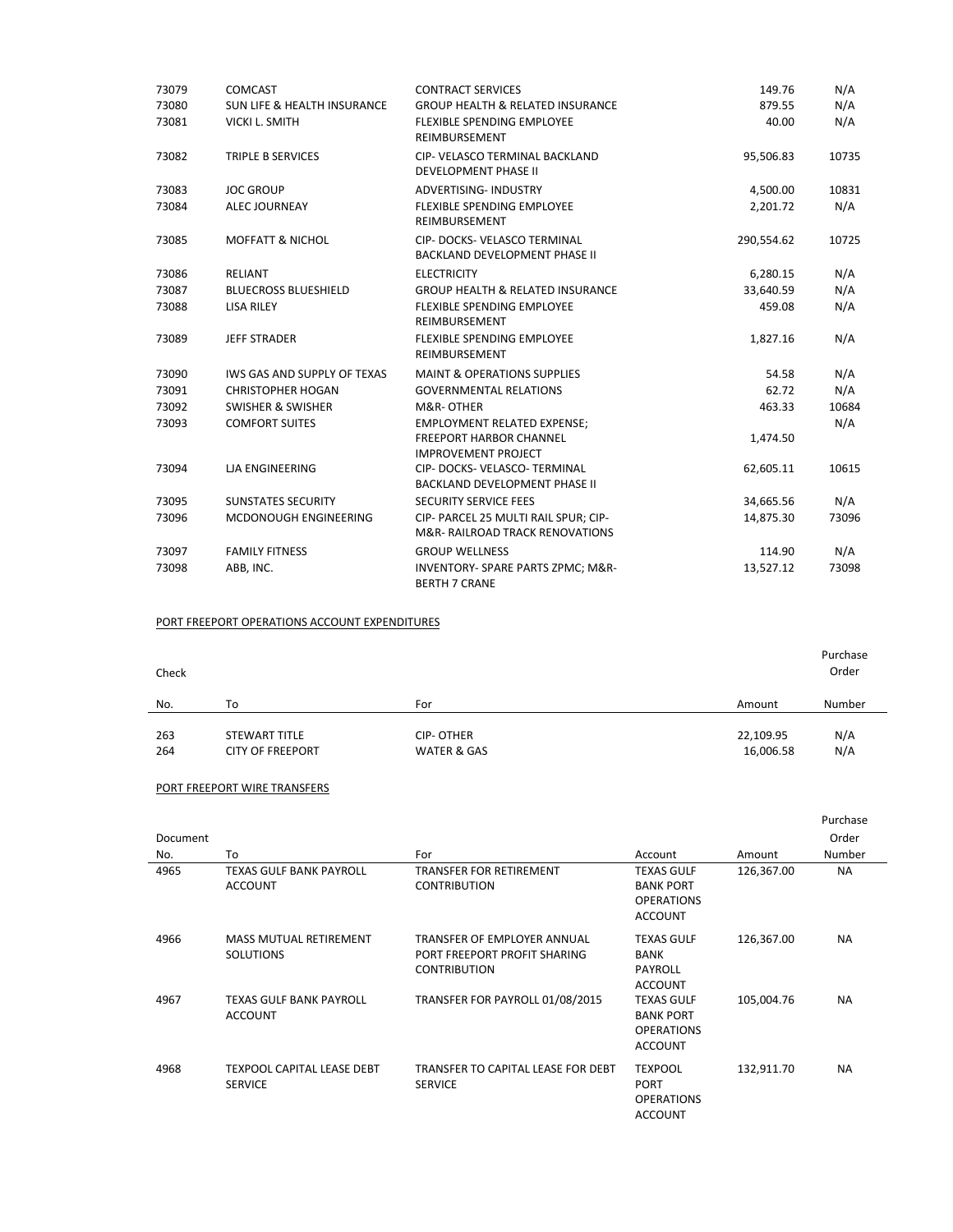| 73079 | <b>COMCAST</b>                         | <b>CONTRACT SERVICES</b>                                                           | 149.76     | N/A   |
|-------|----------------------------------------|------------------------------------------------------------------------------------|------------|-------|
| 73080 | <b>SUN LIFE &amp; HEALTH INSURANCE</b> | <b>GROUP HEALTH &amp; RELATED INSURANCE</b>                                        | 879.55     | N/A   |
| 73081 | <b>VICKI L. SMITH</b>                  | FLEXIBLE SPENDING EMPLOYEE<br>REIMBURSEMENT                                        | 40.00      | N/A   |
| 73082 | TRIPLE B SERVICES                      | CIP- VELASCO TERMINAL BACKLAND<br><b>DEVELOPMENT PHASE II</b>                      | 95,506.83  | 10735 |
| 73083 | <b>JOC GROUP</b>                       | <b>ADVERTISING- INDUSTRY</b>                                                       | 4,500.00   | 10831 |
| 73084 | <b>ALEC JOURNEAY</b>                   | FLEXIBLE SPENDING EMPLOYEE<br>REIMBURSEMENT                                        | 2,201.72   | N/A   |
| 73085 | <b>MOFFATT &amp; NICHOL</b>            | CIP- DOCKS- VELASCO TERMINAL<br><b>BACKLAND DEVELOPMENT PHASE II</b>               | 290,554.62 | 10725 |
| 73086 | <b>RELIANT</b>                         | <b>ELECTRICITY</b>                                                                 | 6,280.15   | N/A   |
| 73087 | <b>BLUECROSS BLUESHIELD</b>            | <b>GROUP HEALTH &amp; RELATED INSURANCE</b>                                        | 33,640.59  | N/A   |
| 73088 | <b>LISA RILEY</b>                      | <b>FLEXIBLE SPENDING EMPLOYEE</b><br>REIMBURSEMENT                                 | 459.08     | N/A   |
| 73089 | <b>JEFF STRADER</b>                    | <b>FLEXIBLE SPENDING EMPLOYEE</b><br>REIMBURSEMENT                                 | 1,827.16   | N/A   |
| 73090 | IWS GAS AND SUPPLY OF TEXAS            | <b>MAINT &amp; OPERATIONS SUPPLIES</b>                                             | 54.58      | N/A   |
| 73091 | <b>CHRISTOPHER HOGAN</b>               | <b>GOVERNMENTAL RELATIONS</b>                                                      | 62.72      | N/A   |
| 73092 | <b>SWISHER &amp; SWISHER</b>           | M&R-OTHER                                                                          | 463.33     | 10684 |
| 73093 | <b>COMFORT SUITES</b>                  | <b>EMPLOYMENT RELATED EXPENSE;</b>                                                 |            | N/A   |
|       |                                        | <b>FREEPORT HARBOR CHANNEL</b><br><b>IMPROVEMENT PROJECT</b>                       | 1,474.50   |       |
| 73094 | <b>LJA ENGINEERING</b>                 | CIP- DOCKS- VELASCO- TERMINAL<br>BACKLAND DEVELOPMENT PHASE II                     | 62,605.11  | 10615 |
| 73095 | <b>SUNSTATES SECURITY</b>              | <b>SECURITY SERVICE FEES</b>                                                       | 34,665.56  | N/A   |
| 73096 | MCDONOUGH ENGINEERING                  | CIP- PARCEL 25 MULTI RAIL SPUR; CIP-<br><b>M&amp;R- RAILROAD TRACK RENOVATIONS</b> | 14,875.30  | 73096 |
| 73097 | <b>FAMILY FITNESS</b>                  | <b>GROUP WELLNESS</b>                                                              | 114.90     | N/A   |
| 73098 | ABB, INC.                              | INVENTORY- SPARE PARTS ZPMC; M&R-<br><b>BERTH 7 CRANE</b>                          | 13,527.12  | 73098 |

#### PORT FREEPORT OPERATIONS ACCOUNT EXPENDITURES

| Check |                         |                        |           | Purchase<br>Order |  |
|-------|-------------------------|------------------------|-----------|-------------------|--|
| No.   | To                      | For                    | Amount    | Number            |  |
| 263   | STEWART TITLE           | <b>CIP-OTHER</b>       | 22,109.95 | N/A               |  |
|       |                         |                        |           |                   |  |
| 264   | <b>CITY OF FREEPORT</b> | <b>WATER &amp; GAS</b> | 16,006.58 | N/A               |  |

#### PORT FREEPORT WIRE TRANSFERS

|          |                                                     |                                                                                    |                                                                              |            | Purchase  |
|----------|-----------------------------------------------------|------------------------------------------------------------------------------------|------------------------------------------------------------------------------|------------|-----------|
| Document |                                                     |                                                                                    |                                                                              |            | Order     |
| No.      | To                                                  | For                                                                                | Account                                                                      | Amount     | Number    |
| 4965     | TEXAS GULF BANK PAYROLL<br><b>ACCOUNT</b>           | TRANSFER FOR RETIREMENT<br><b>CONTRIBUTION</b>                                     | <b>TEXAS GULF</b><br><b>BANK PORT</b><br><b>OPERATIONS</b><br><b>ACCOUNT</b> | 126,367.00 | NА        |
| 4966     | <b>MASS MUTUAL RETIREMENT</b><br><b>SOLUTIONS</b>   | TRANSFER OF EMPLOYER ANNUAL<br>PORT FREEPORT PROFIT SHARING<br><b>CONTRIBUTION</b> | <b>TEXAS GULF</b><br><b>BANK</b><br>PAYROLL<br><b>ACCOUNT</b>                | 126,367.00 | <b>NA</b> |
| 4967     | <b>TEXAS GULF BANK PAYROLL</b><br><b>ACCOUNT</b>    | TRANSFER FOR PAYROLL 01/08/2015                                                    | <b>TEXAS GULF</b><br><b>BANK PORT</b><br><b>OPERATIONS</b><br><b>ACCOUNT</b> | 105,004.76 | <b>NA</b> |
| 4968     | <b>TEXPOOL CAPITAL LEASE DEBT</b><br><b>SERVICE</b> | TRANSFER TO CAPITAL LEASE FOR DEBT<br><b>SERVICE</b>                               | <b>TEXPOOL</b><br><b>PORT</b><br><b>OPERATIONS</b><br><b>ACCOUNT</b>         | 132,911.70 | <b>NA</b> |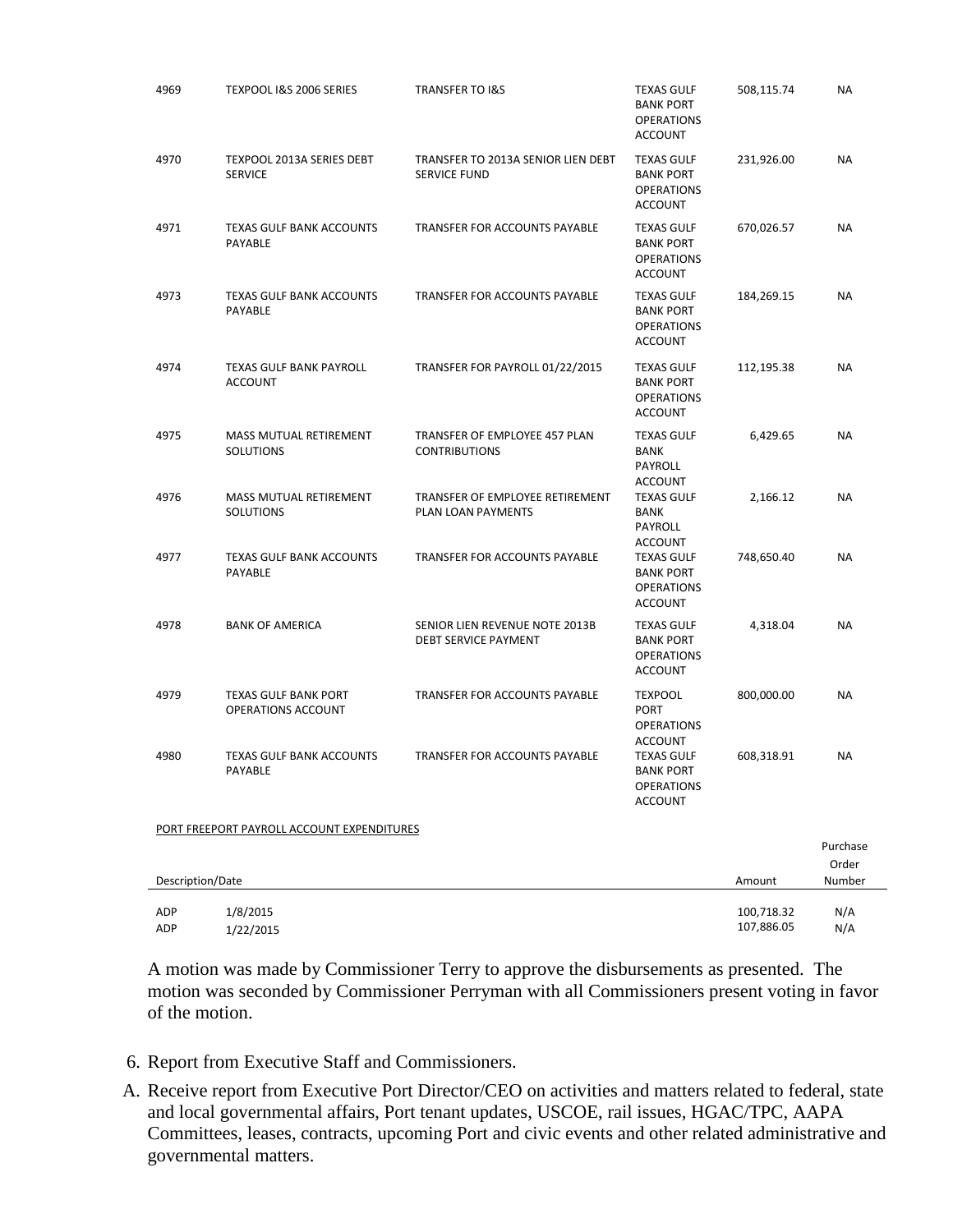| 4969             | TEXPOOL I&S 2006 SERIES                           | <b>TRANSFER TO I&amp;S</b>                                    | <b>TEXAS GULF</b><br><b>BANK PORT</b><br><b>OPERATIONS</b><br><b>ACCOUNT</b> | 508,115.74 | NA                          |
|------------------|---------------------------------------------------|---------------------------------------------------------------|------------------------------------------------------------------------------|------------|-----------------------------|
| 4970             | TEXPOOL 2013A SERIES DEBT<br><b>SERVICE</b>       | TRANSFER TO 2013A SENIOR LIEN DEBT<br><b>SERVICE FUND</b>     | <b>TEXAS GULF</b><br><b>BANK PORT</b><br><b>OPERATIONS</b><br><b>ACCOUNT</b> | 231,926.00 | <b>NA</b>                   |
| 4971             | <b>TEXAS GULF BANK ACCOUNTS</b><br>PAYABLE        | TRANSFER FOR ACCOUNTS PAYABLE                                 | <b>TEXAS GULF</b><br><b>BANK PORT</b><br><b>OPERATIONS</b><br><b>ACCOUNT</b> | 670,026.57 | <b>NA</b>                   |
| 4973             | <b>TEXAS GULF BANK ACCOUNTS</b><br>PAYABLE        | <b>TRANSFER FOR ACCOUNTS PAYABLE</b>                          | <b>TEXAS GULF</b><br><b>BANK PORT</b><br><b>OPERATIONS</b><br><b>ACCOUNT</b> | 184,269.15 | NA                          |
| 4974             | <b>TEXAS GULF BANK PAYROLL</b><br><b>ACCOUNT</b>  | TRANSFER FOR PAYROLL 01/22/2015                               | <b>TEXAS GULF</b><br><b>BANK PORT</b><br><b>OPERATIONS</b><br><b>ACCOUNT</b> | 112,195.38 | <b>NA</b>                   |
| 4975             | MASS MUTUAL RETIREMENT<br><b>SOLUTIONS</b>        | TRANSFER OF EMPLOYEE 457 PLAN<br><b>CONTRIBUTIONS</b>         | <b>TEXAS GULF</b><br>BANK<br>PAYROLL<br><b>ACCOUNT</b>                       | 6,429.65   | <b>NA</b>                   |
| 4976             | MASS MUTUAL RETIREMENT<br><b>SOLUTIONS</b>        | TRANSFER OF EMPLOYEE RETIREMENT<br>PLAN LOAN PAYMENTS         | <b>TEXAS GULF</b><br><b>BANK</b><br>PAYROLL<br><b>ACCOUNT</b>                | 2,166.12   | NA                          |
| 4977             | TEXAS GULF BANK ACCOUNTS<br>PAYABLE               | TRANSFER FOR ACCOUNTS PAYABLE                                 | <b>TEXAS GULF</b><br><b>BANK PORT</b><br><b>OPERATIONS</b><br><b>ACCOUNT</b> | 748,650.40 | NA                          |
| 4978             | <b>BANK OF AMERICA</b>                            | SENIOR LIEN REVENUE NOTE 2013B<br><b>DEBT SERVICE PAYMENT</b> | <b>TEXAS GULF</b><br><b>BANK PORT</b><br><b>OPERATIONS</b><br><b>ACCOUNT</b> | 4,318.04   | NA                          |
| 4979             | <b>TEXAS GULF BANK PORT</b><br>OPERATIONS ACCOUNT | TRANSFER FOR ACCOUNTS PAYABLE                                 | <b>TEXPOOL</b><br><b>PORT</b><br><b>OPERATIONS</b><br><b>ACCOUNT</b>         | 800,000.00 | <b>NA</b>                   |
| 4980             | <b>TEXAS GULF BANK ACCOUNTS</b><br>PAYABLE        | <b>TRANSFER FOR ACCOUNTS PAYABLE</b>                          | <b>TEXAS GULF</b><br><b>BANK PORT</b><br><b>OPERATIONS</b><br><b>ACCOUNT</b> | 608,318.91 | NA                          |
|                  | PORT FREEPORT PAYROLL ACCOUNT EXPENDITURES        |                                                               |                                                                              |            |                             |
| Description/Date |                                                   |                                                               |                                                                              | Amount     | Purchase<br>Order<br>Number |
| ADP              | 1/8/2015                                          |                                                               |                                                                              | 100,718.32 | N/A                         |
| <b>ADP</b>       | 1/22/2015                                         |                                                               |                                                                              | 107,886.05 | N/A                         |

A motion was made by Commissioner Terry to approve the disbursements as presented. The motion was seconded by Commissioner Perryman with all Commissioners present voting in favor of the motion.

- 6. Report from Executive Staff and Commissioners.
- A. Receive report from Executive Port Director/CEO on activities and matters related to federal, state and local governmental affairs, Port tenant updates, USCOE, rail issues, HGAC/TPC, AAPA Committees, leases, contracts, upcoming Port and civic events and other related administrative and governmental matters.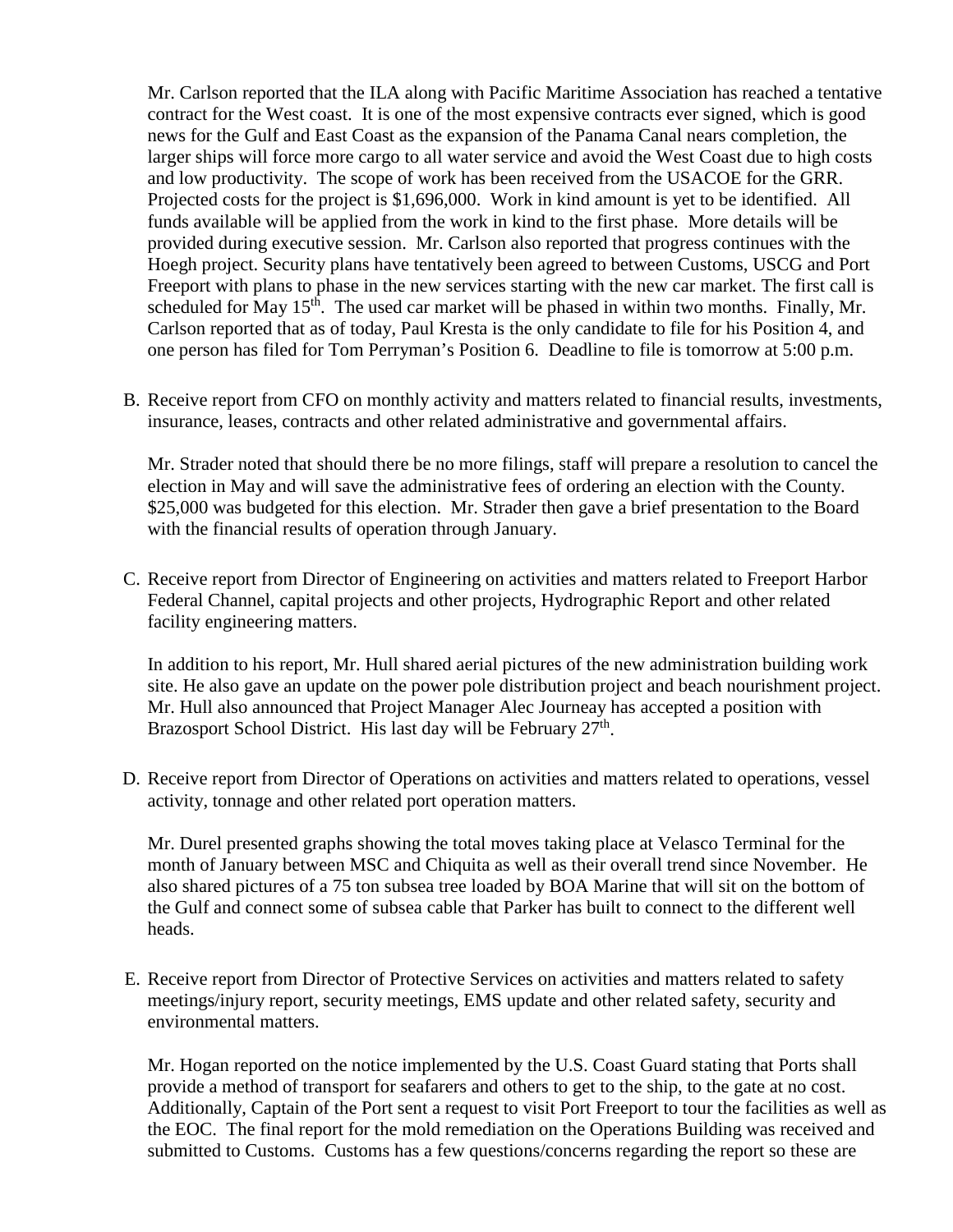Mr. Carlson reported that the ILA along with Pacific Maritime Association has reached a tentative contract for the West coast. It is one of the most expensive contracts ever signed, which is good news for the Gulf and East Coast as the expansion of the Panama Canal nears completion, the larger ships will force more cargo to all water service and avoid the West Coast due to high costs and low productivity. The scope of work has been received from the USACOE for the GRR. Projected costs for the project is \$1,696,000. Work in kind amount is yet to be identified. All funds available will be applied from the work in kind to the first phase. More details will be provided during executive session. Mr. Carlson also reported that progress continues with the Hoegh project. Security plans have tentatively been agreed to between Customs, USCG and Port Freeport with plans to phase in the new services starting with the new car market. The first call is scheduled for May  $15<sup>th</sup>$ . The used car market will be phased in within two months. Finally, Mr. Carlson reported that as of today, Paul Kresta is the only candidate to file for his Position 4, and one person has filed for Tom Perryman's Position 6. Deadline to file is tomorrow at 5:00 p.m.

B. Receive report from CFO on monthly activity and matters related to financial results, investments, insurance, leases, contracts and other related administrative and governmental affairs.

Mr. Strader noted that should there be no more filings, staff will prepare a resolution to cancel the election in May and will save the administrative fees of ordering an election with the County. \$25,000 was budgeted for this election. Mr. Strader then gave a brief presentation to the Board with the financial results of operation through January.

C. Receive report from Director of Engineering on activities and matters related to Freeport Harbor Federal Channel, capital projects and other projects, Hydrographic Report and other related facility engineering matters.

In addition to his report, Mr. Hull shared aerial pictures of the new administration building work site. He also gave an update on the power pole distribution project and beach nourishment project. Mr. Hull also announced that Project Manager Alec Journeay has accepted a position with Brazosport School District. His last day will be February  $27<sup>th</sup>$ .

D. Receive report from Director of Operations on activities and matters related to operations, vessel activity, tonnage and other related port operation matters.

Mr. Durel presented graphs showing the total moves taking place at Velasco Terminal for the month of January between MSC and Chiquita as well as their overall trend since November. He also shared pictures of a 75 ton subsea tree loaded by BOA Marine that will sit on the bottom of the Gulf and connect some of subsea cable that Parker has built to connect to the different well heads.

E. Receive report from Director of Protective Services on activities and matters related to safety meetings/injury report, security meetings, EMS update and other related safety, security and environmental matters.

Mr. Hogan reported on the notice implemented by the U.S. Coast Guard stating that Ports shall provide a method of transport for seafarers and others to get to the ship, to the gate at no cost. Additionally, Captain of the Port sent a request to visit Port Freeport to tour the facilities as well as the EOC. The final report for the mold remediation on the Operations Building was received and submitted to Customs. Customs has a few questions/concerns regarding the report so these are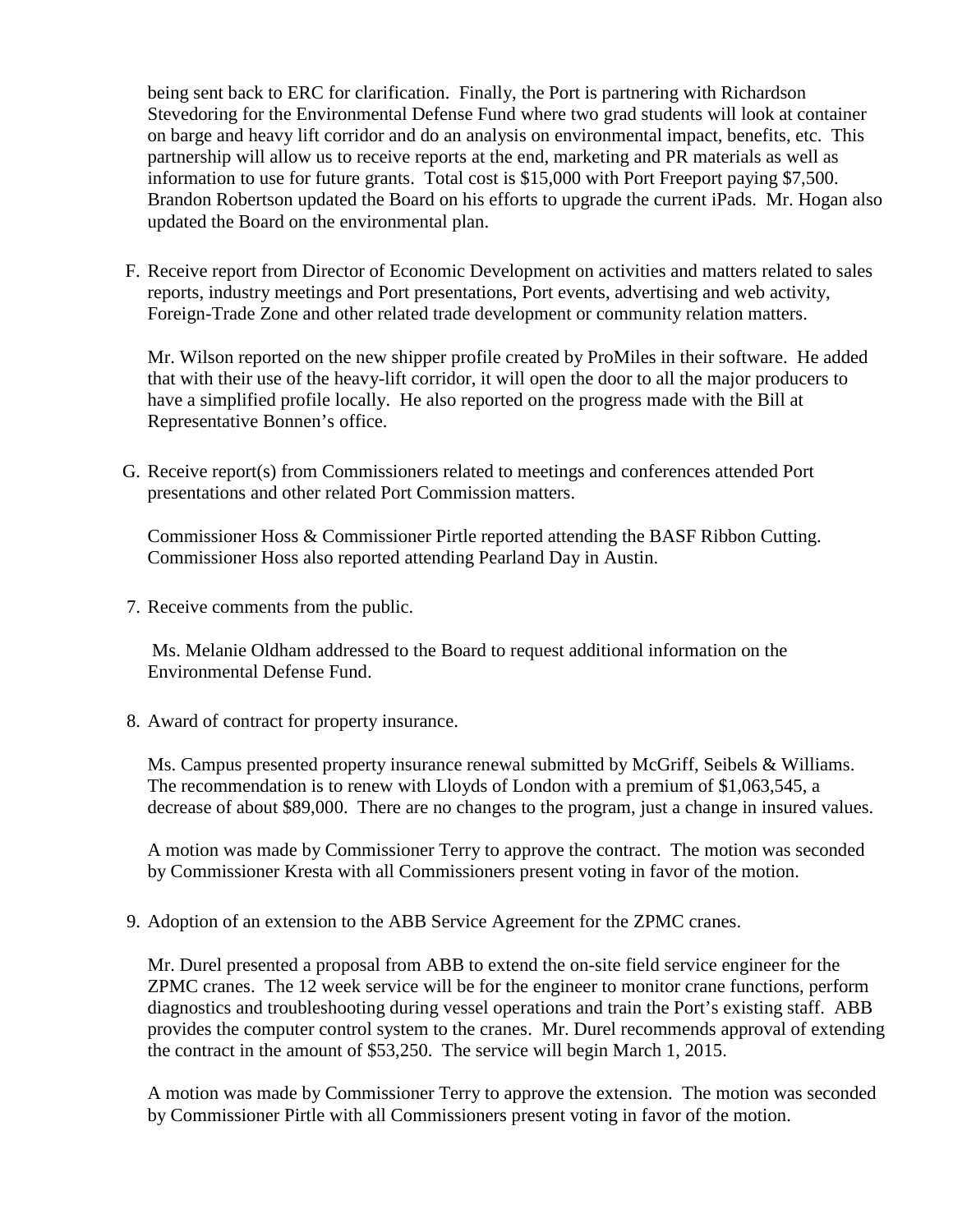being sent back to ERC for clarification. Finally, the Port is partnering with Richardson Stevedoring for the Environmental Defense Fund where two grad students will look at container on barge and heavy lift corridor and do an analysis on environmental impact, benefits, etc. This partnership will allow us to receive reports at the end, marketing and PR materials as well as information to use for future grants. Total cost is \$15,000 with Port Freeport paying \$7,500. Brandon Robertson updated the Board on his efforts to upgrade the current iPads. Mr. Hogan also updated the Board on the environmental plan.

F. Receive report from Director of Economic Development on activities and matters related to sales reports, industry meetings and Port presentations, Port events, advertising and web activity, Foreign-Trade Zone and other related trade development or community relation matters.

Mr. Wilson reported on the new shipper profile created by ProMiles in their software. He added that with their use of the heavy-lift corridor, it will open the door to all the major producers to have a simplified profile locally. He also reported on the progress made with the Bill at Representative Bonnen's office.

G. Receive report(s) from Commissioners related to meetings and conferences attended Port presentations and other related Port Commission matters.

Commissioner Hoss & Commissioner Pirtle reported attending the BASF Ribbon Cutting. Commissioner Hoss also reported attending Pearland Day in Austin.

7. Receive comments from the public.

Ms. Melanie Oldham addressed to the Board to request additional information on the Environmental Defense Fund.

8. Award of contract for property insurance.

Ms. Campus presented property insurance renewal submitted by McGriff, Seibels & Williams. The recommendation is to renew with Lloyds of London with a premium of \$1,063,545, a decrease of about \$89,000. There are no changes to the program, just a change in insured values.

A motion was made by Commissioner Terry to approve the contract. The motion was seconded by Commissioner Kresta with all Commissioners present voting in favor of the motion.

9. Adoption of an extension to the ABB Service Agreement for the ZPMC cranes.

Mr. Durel presented a proposal from ABB to extend the on-site field service engineer for the ZPMC cranes. The 12 week service will be for the engineer to monitor crane functions, perform diagnostics and troubleshooting during vessel operations and train the Port's existing staff. ABB provides the computer control system to the cranes. Mr. Durel recommends approval of extending the contract in the amount of \$53,250. The service will begin March 1, 2015.

A motion was made by Commissioner Terry to approve the extension. The motion was seconded by Commissioner Pirtle with all Commissioners present voting in favor of the motion.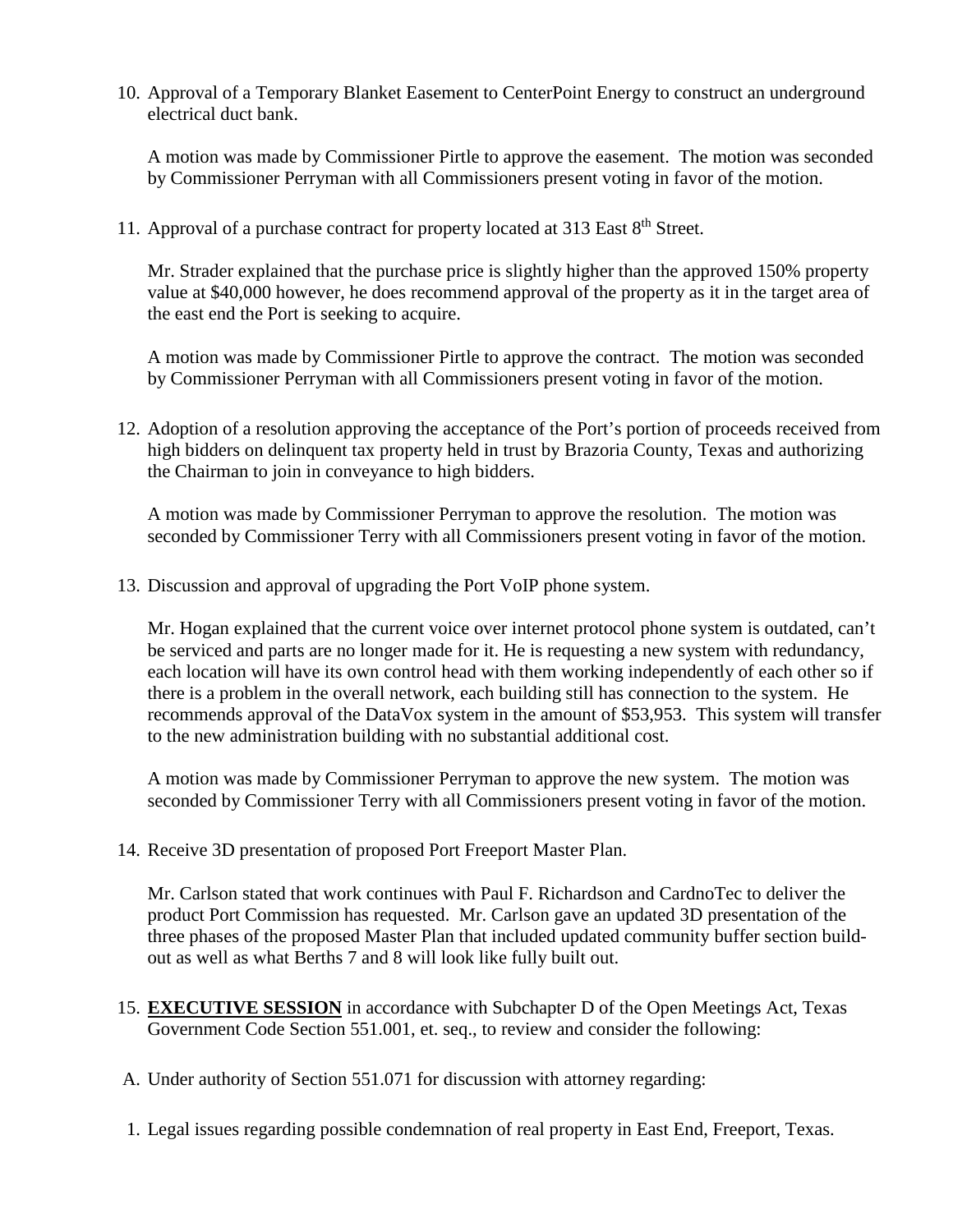10. Approval of a Temporary Blanket Easement to CenterPoint Energy to construct an underground electrical duct bank.

A motion was made by Commissioner Pirtle to approve the easement. The motion was seconded by Commissioner Perryman with all Commissioners present voting in favor of the motion.

11. Approval of a purchase contract for property located at 313 East 8<sup>th</sup> Street.

Mr. Strader explained that the purchase price is slightly higher than the approved 150% property value at \$40,000 however, he does recommend approval of the property as it in the target area of the east end the Port is seeking to acquire.

A motion was made by Commissioner Pirtle to approve the contract. The motion was seconded by Commissioner Perryman with all Commissioners present voting in favor of the motion.

12. Adoption of a resolution approving the acceptance of the Port's portion of proceeds received from high bidders on delinquent tax property held in trust by Brazoria County, Texas and authorizing the Chairman to join in conveyance to high bidders.

A motion was made by Commissioner Perryman to approve the resolution. The motion was seconded by Commissioner Terry with all Commissioners present voting in favor of the motion.

13. Discussion and approval of upgrading the Port VoIP phone system.

Mr. Hogan explained that the current voice over internet protocol phone system is outdated, can't be serviced and parts are no longer made for it. He is requesting a new system with redundancy, each location will have its own control head with them working independently of each other so if there is a problem in the overall network, each building still has connection to the system. He recommends approval of the DataVox system in the amount of \$53,953. This system will transfer to the new administration building with no substantial additional cost.

A motion was made by Commissioner Perryman to approve the new system. The motion was seconded by Commissioner Terry with all Commissioners present voting in favor of the motion.

14. Receive 3D presentation of proposed Port Freeport Master Plan.

Mr. Carlson stated that work continues with Paul F. Richardson and CardnoTec to deliver the product Port Commission has requested. Mr. Carlson gave an updated 3D presentation of the three phases of the proposed Master Plan that included updated community buffer section buildout as well as what Berths 7 and 8 will look like fully built out.

- 15. **EXECUTIVE SESSION** in accordance with Subchapter D of the Open Meetings Act, Texas Government Code Section 551.001, et. seq., to review and consider the following:
- A. Under authority of Section 551.071 for discussion with attorney regarding:
- 1. Legal issues regarding possible condemnation of real property in East End, Freeport, Texas.